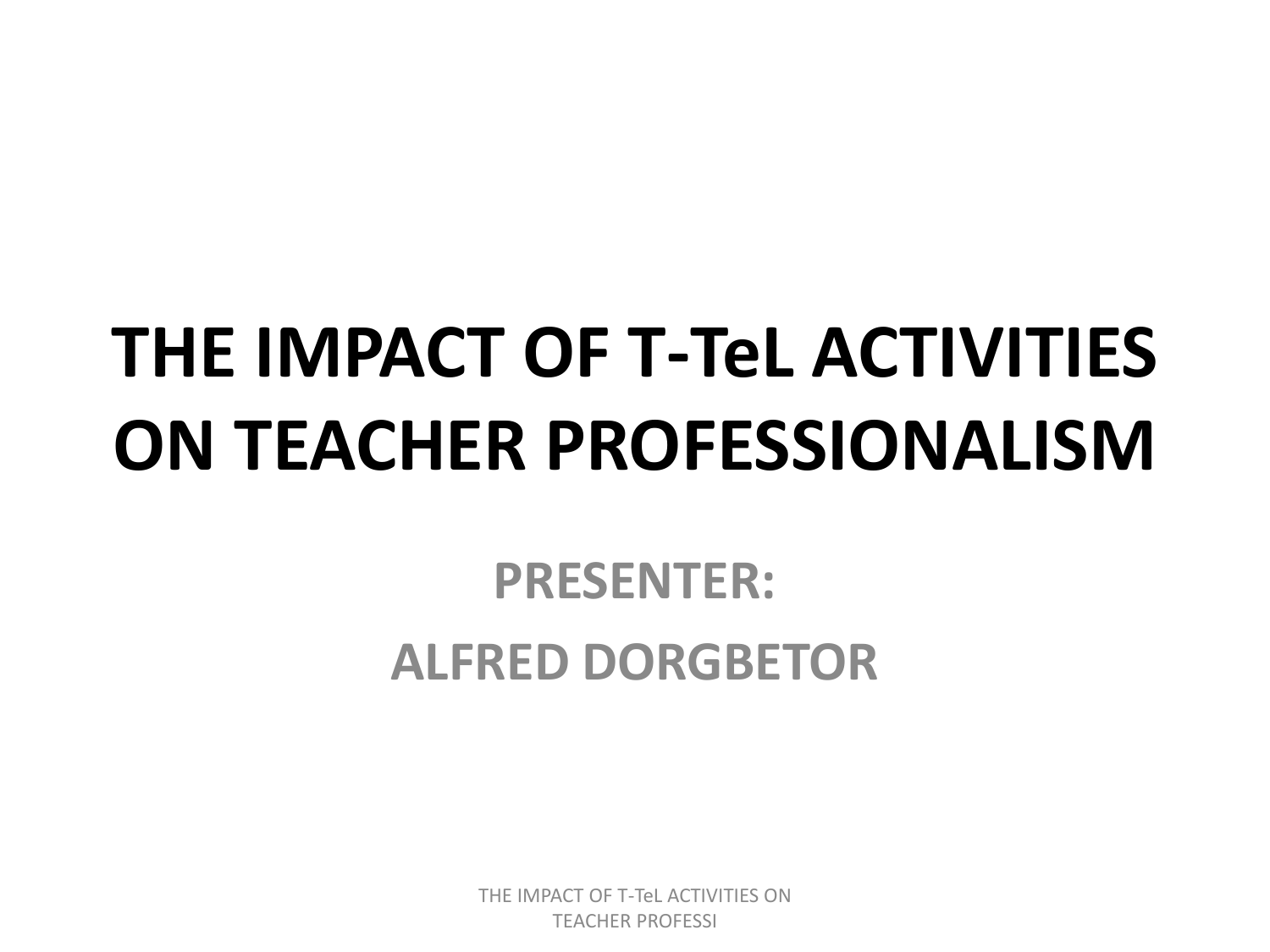# **THE IMPACT OF T-TeL ACTIVITIES ON TEACHER PROFESSIONALISM**

#### **PRESENTER: ALFRED DORGBETOR**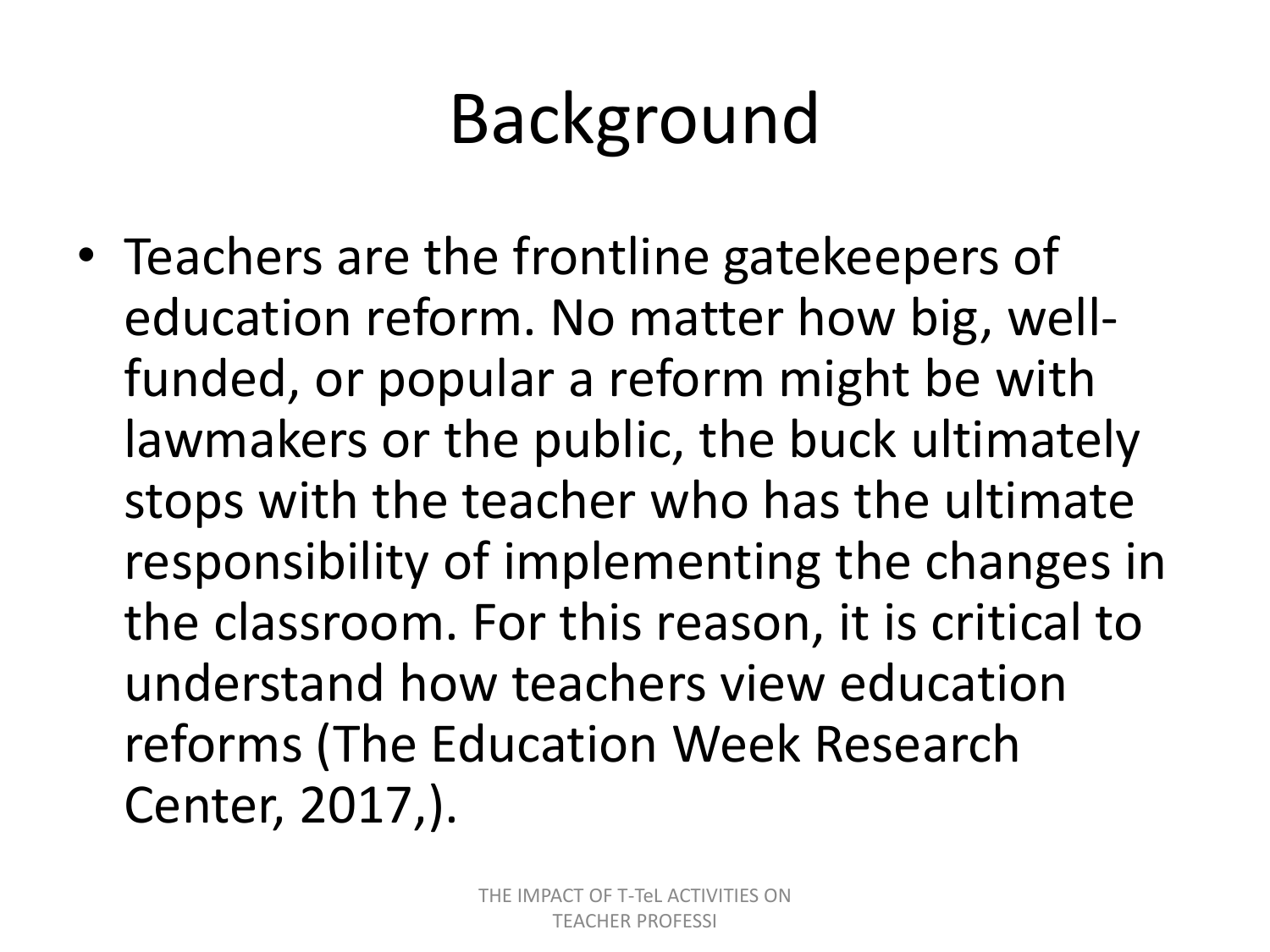# Background

• Teachers are the frontline gatekeepers of education reform. No matter how big, wellfunded, or popular a reform might be with lawmakers or the public, the buck ultimately stops with the teacher who has the ultimate responsibility of implementing the changes in the classroom. For this reason, it is critical to understand how teachers view education reforms (The Education Week Research Center, 2017,).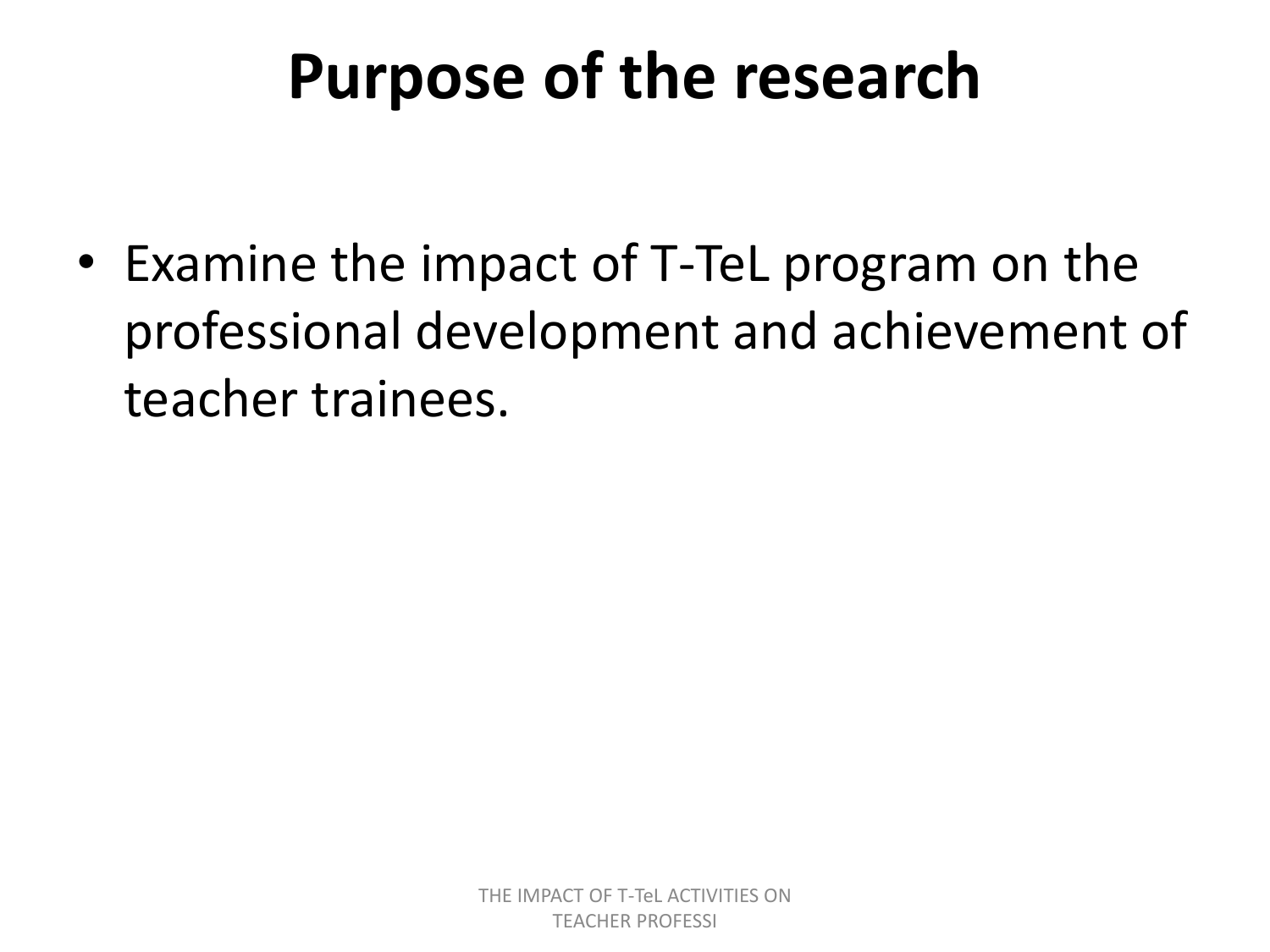### **Purpose of the research**

• Examine the impact of T-TeL program on the professional development and achievement of teacher trainees.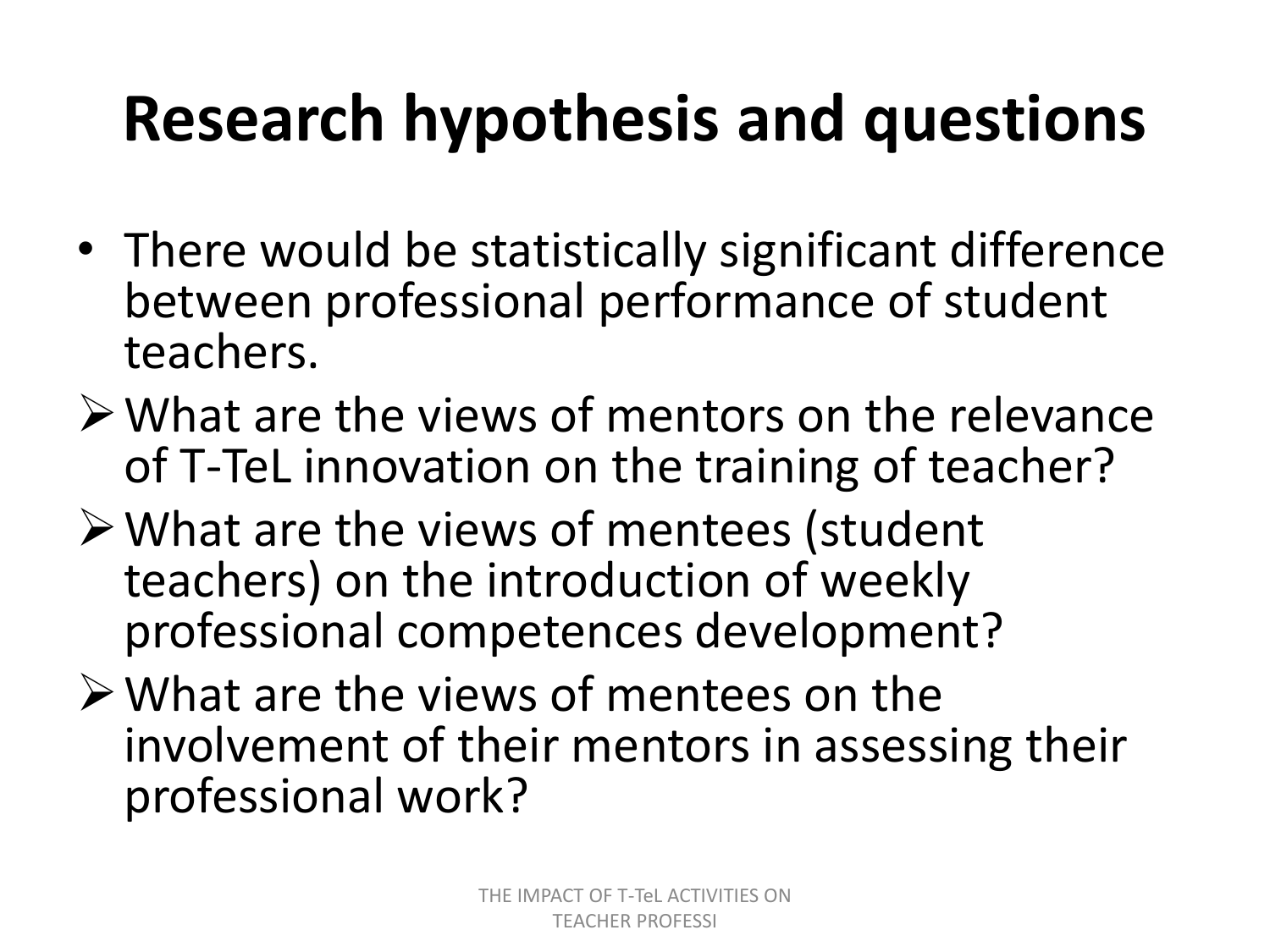## **Research hypothesis and questions**

- There would be statistically significant difference between professional performance of student teachers.
- $\triangleright$  What are the views of mentors on the relevance of T-TeL innovation on the training of teacher?
- What are the views of mentees (student teachers) on the introduction of weekly professional competences development?
- $\triangleright$  What are the views of mentees on the involvement of their mentors in assessing their professional work?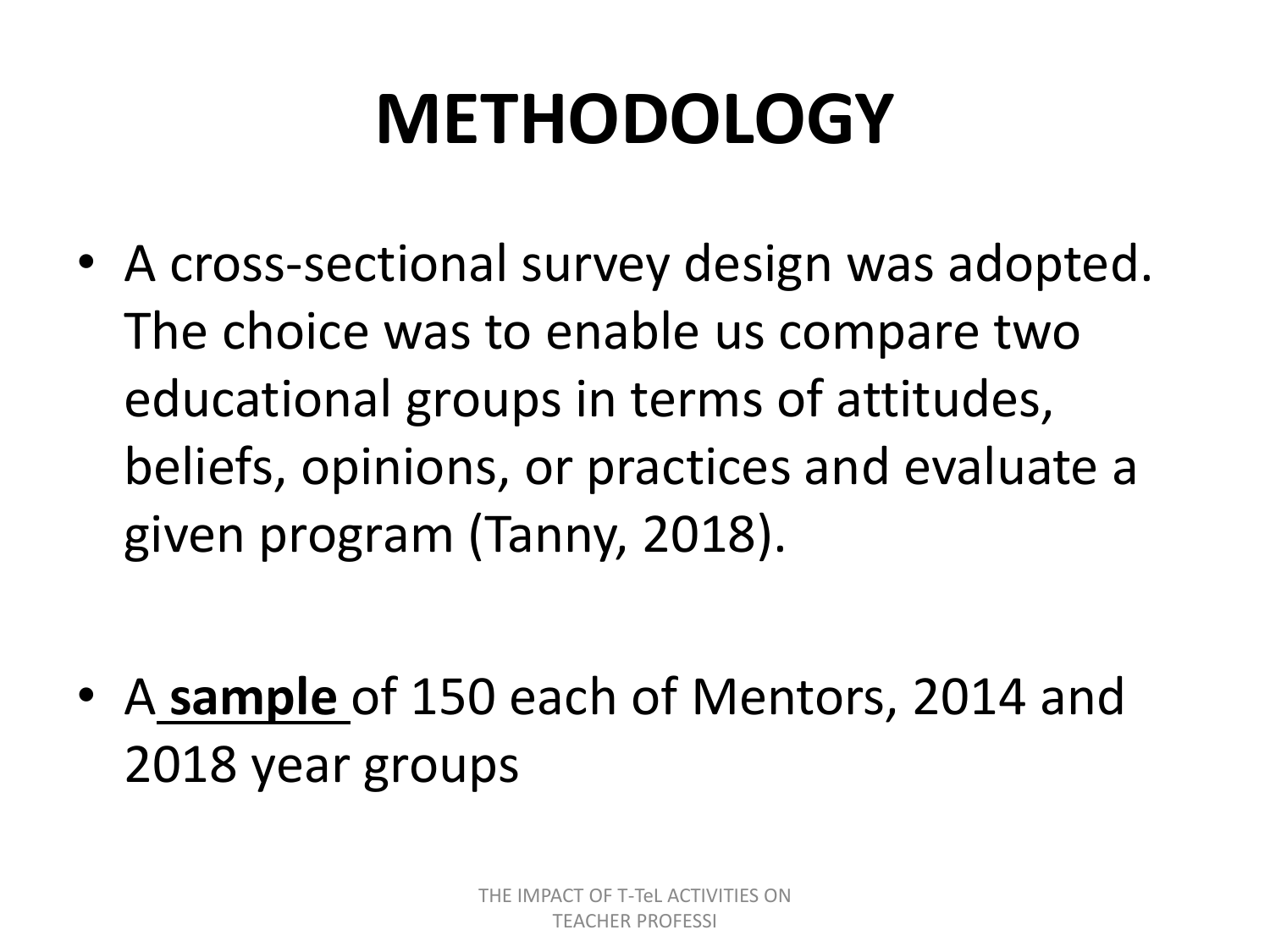# **METHODOLOGY**

• A cross-sectional survey design was adopted. The choice was to enable us compare two educational groups in terms of attitudes, beliefs, opinions, or practices and evaluate a given program (Tanny, 2018).

• A **sample** of 150 each of Mentors, 2014 and 2018 year groups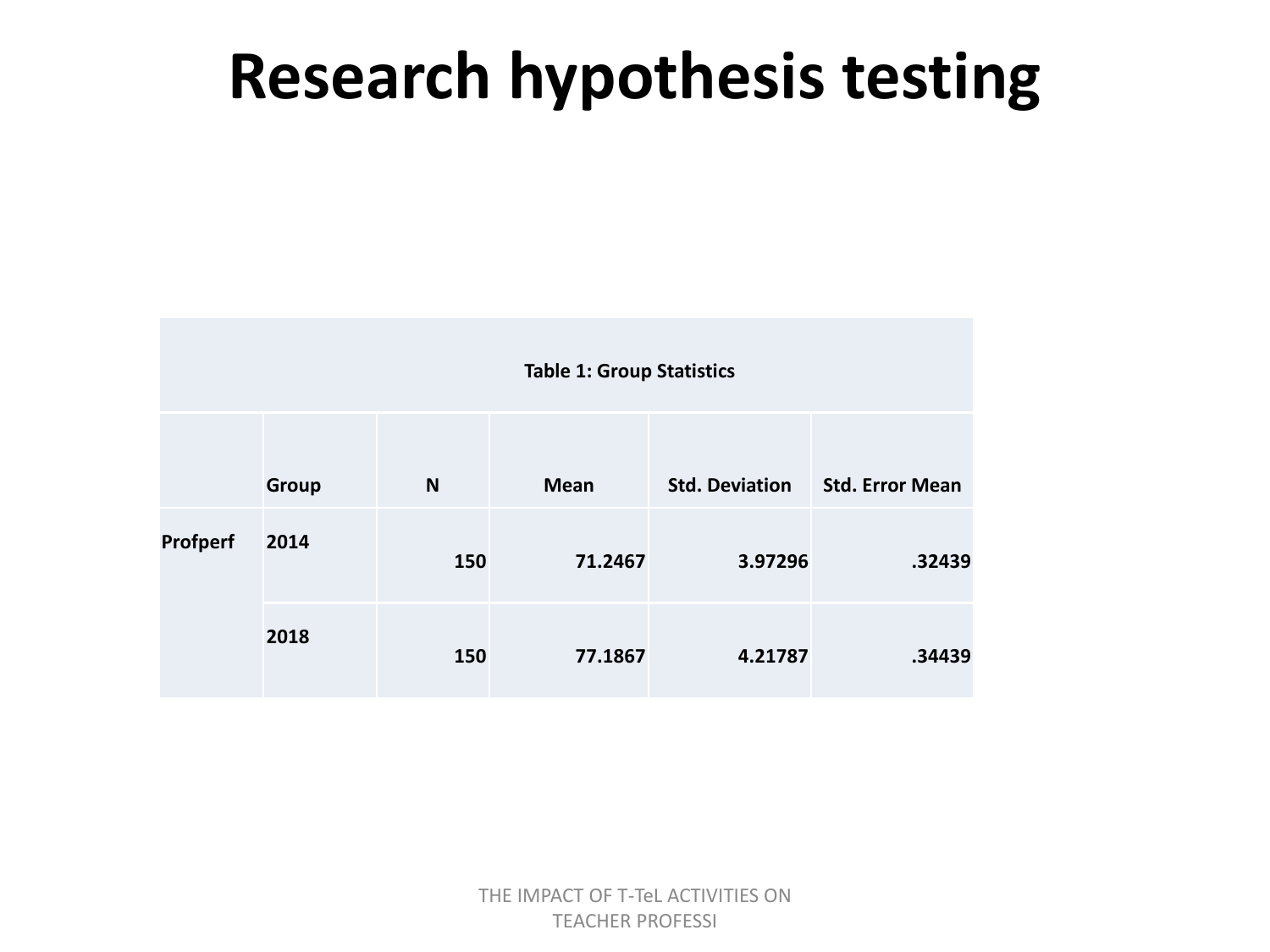#### **Research hypothesis testing**

|          |              | <b>Table 1: Group Statistics</b> |             |                       |                        |  |  |  |  |  |  |
|----------|--------------|----------------------------------|-------------|-----------------------|------------------------|--|--|--|--|--|--|
|          | <b>Group</b> | N                                | <b>Mean</b> | <b>Std. Deviation</b> | <b>Std. Error Mean</b> |  |  |  |  |  |  |
| Profperf | 2014         | 150                              | 71.2467     | 3.97296               | .32439                 |  |  |  |  |  |  |
|          | 2018         | 150                              | 77.1867     | 4.21787               | .34439                 |  |  |  |  |  |  |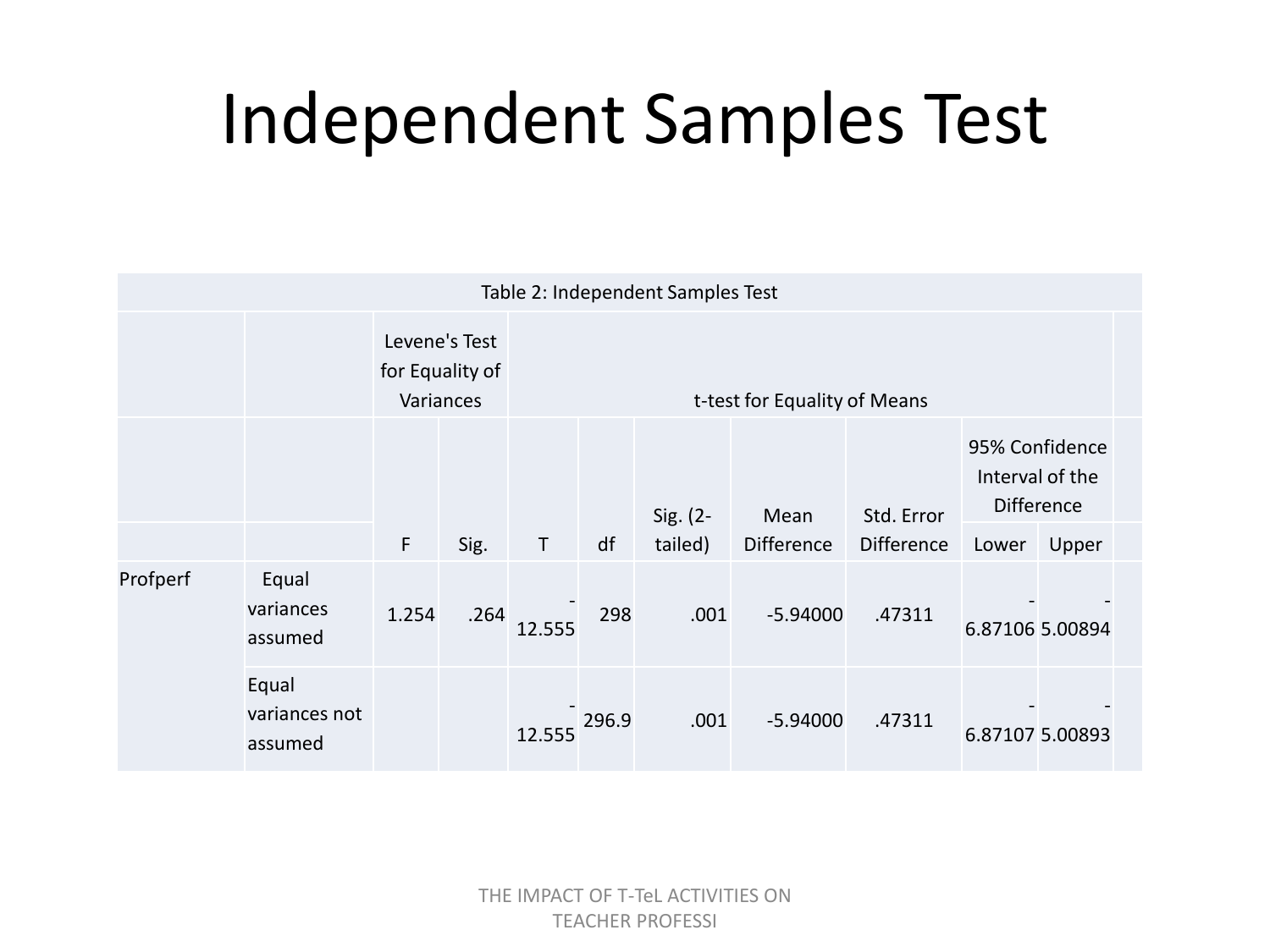## Independent Samples Test

| Table 2: Independent Samples Test |                                   |              |                                               |                              |       |                     |                           |                                 |                                                                          |                 |  |  |  |
|-----------------------------------|-----------------------------------|--------------|-----------------------------------------------|------------------------------|-------|---------------------|---------------------------|---------------------------------|--------------------------------------------------------------------------|-----------------|--|--|--|
|                                   |                                   |              | Levene's Test<br>for Equality of<br>Variances | t-test for Equality of Means |       |                     |                           |                                 |                                                                          |                 |  |  |  |
|                                   |                                   | $\mathsf{F}$ | Sig.                                          | $\mathsf T$                  | df    | Sig. (2-<br>tailed) | Mean<br><b>Difference</b> | Std. Error<br><b>Difference</b> | 95% Confidence<br>Interval of the<br><b>Difference</b><br>Upper<br>Lower |                 |  |  |  |
| Profperf                          | Equal<br>variances<br>assumed     | 1.254        | .264                                          | 12.555                       | 298   | .001                | $-5.94000$                | .47311                          |                                                                          | 6.87106 5.00894 |  |  |  |
|                                   | Equal<br>variances not<br>assumed |              |                                               | 12.555                       | 296.9 | .001                | $-5.94000$                | .47311                          |                                                                          | 6.87107 5.00893 |  |  |  |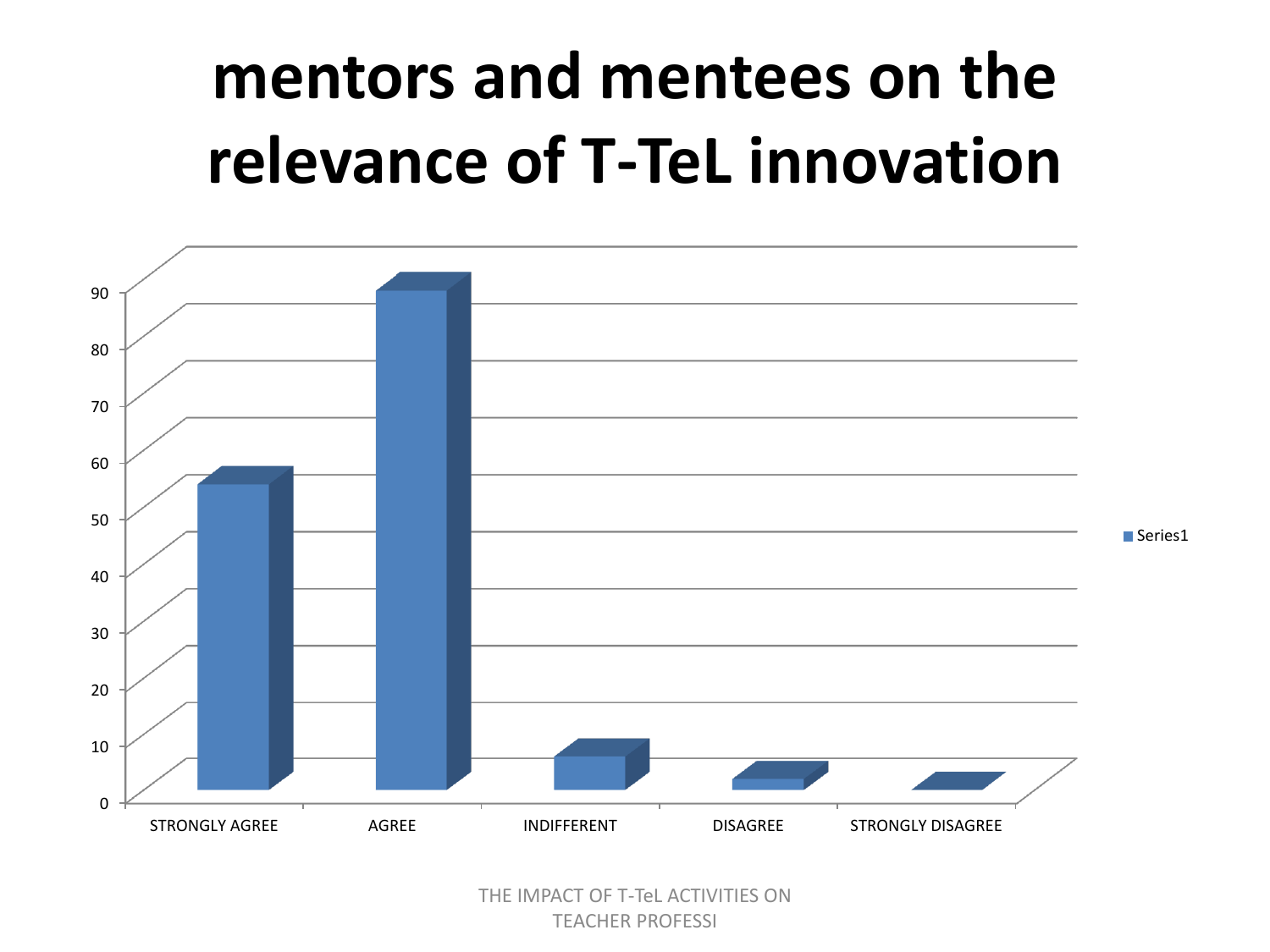### **mentors and mentees on the relevance of T-TeL innovation**

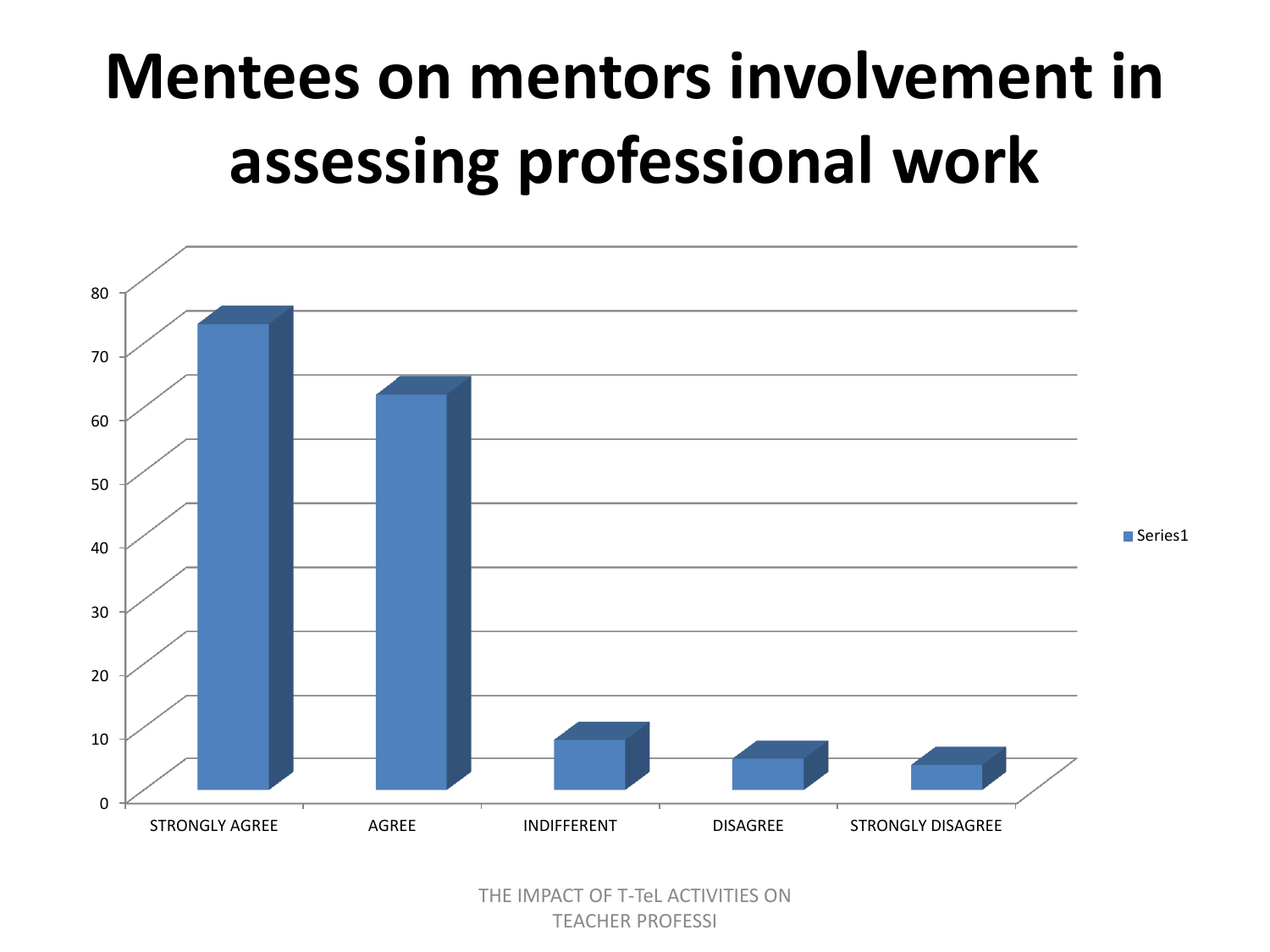## **Mentees on mentors involvement in assessing professional work**

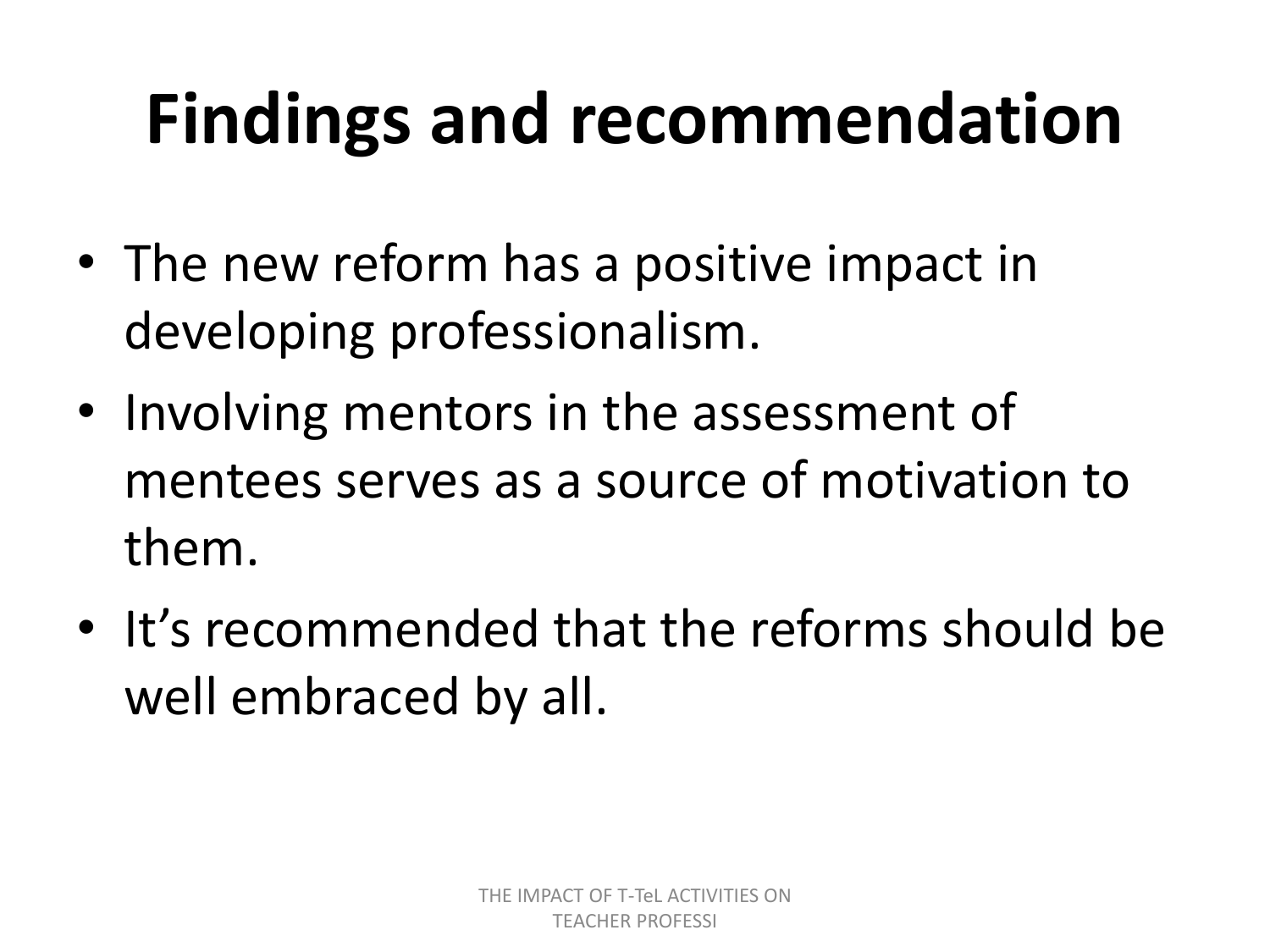# **Findings and recommendation**

- The new reform has a positive impact in developing professionalism.
- Involving mentors in the assessment of mentees serves as a source of motivation to them.
- It's recommended that the reforms should be well embraced by all.